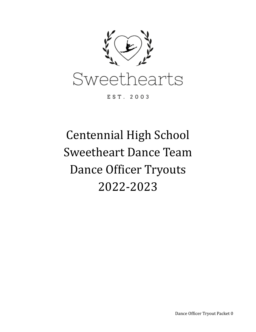

EST. 2003

# Centennial High School Sweetheart Dance Team Dance Officer Tryouts 2022-2023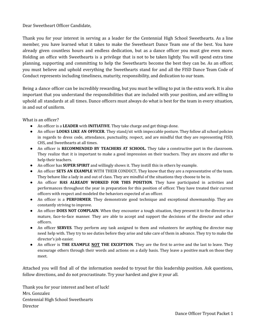#### Dear Sweetheart Officer Candidate,

Thank you for your interest in serving as a leader for the Centennial High School Sweethearts. As a line member, you have learned what it takes to make the Sweetheart Dance Team one of the best. You have already given countless hours and endless dedication, but as a dance officer you must give even more. Holding an office with Sweethearts is a privilege that is not to be taken lightly. You will spend extra time planning, supporting and committing to help the Sweethearts become the best they can be. As an officer, you must believe and uphold everything the Sweethearts stand for and all the FISD Dance Team Code of Conduct represents including timeliness, maturity, responsibility, and dedication to our team.

Being a dance officer can be incredibly rewarding, but you must be willing to put in the extra work. It is also important that you understand the responsibilities that are included with your position, and are willing to uphold all standards at all times. Dance officers must always do what is best for the team in every situation, in and out of uniform.

What is an officer?

- An officer is a **LEADER** with **INITIATIVE**. They take charge and get things done.
- An officer **LOOKS LIKE AN OFFICER**. They stand/sit with impeccable posture. They follow all school policies in regards to dress code, attendance, punctuality, respect, and are mindful that they are representing FISD, CHS, and Sweethearts at all times.
- An officer is **RECOMMENDED BY TEACHERS AT SCHOOL.** They take a constructive part in the classroom. They realize that it is important to make a good impression on their teachers. They are sincere and offer to help their teachers.
- An officer has **SUPER SPIRIT** and willingly shows it. They instill this in others by example.
- An officer **SETS AN EXAMPLE** WITH THEIR CONDUCT**.** They know that they are a representative of the team. They behave like a lady in and out of class. They are mindful of the situations they choose to be in.
- An officer **HAS ALREADY WORKED FOR THIS POSITION**. They have participated in activities and performances throughout the year in preparation for this position of officer. They have treated their current officers with respect and modeled the behaviors expected of an officer.
- An officer is a **PERFORMER**. They demonstrate good technique and exceptional showmanship. They are constantly striving to improve.
- An officer **DOES NOT COMPLAIN**. When they encounter a tough situation, they present it to the director in a mature, face-to-face manner. They are able to accept and support the decisions of the director and other officers.
- An officer **SERVES**. They perform any task assigned to them and volunteers for anything the director may need help with. They try to see duties before they arise and take care of them in advance. They try to make the director's job easier.
- An officer is **THE EXAMPLE NOT THE EXCEPTION**. They are the first to arrive and the last to leave. They encourage others through their words and actions on a daily basis. They leave a positive mark on those they meet.

Attached you will find all of the information needed to tryout for this leadership position. Ask questions, follow directions, and do not procrastinate. Try your hardest and give it your all.

Thank you for your interest and best of luck! Mrs. Gonzalez Centennial High School Sweethearts Director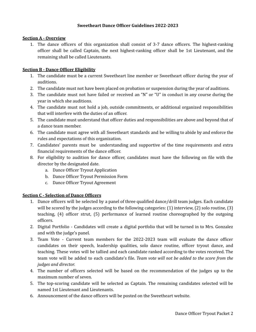#### **Sweetheart Dance Officer Guidelines 2022-2023**

#### **Section A - Overview**

1. The dance officers of this organization shall consist of 3-7 dance officers. The highest-ranking officer shall be called Captain, the next highest-ranking officer shall be 1st Lieutenant, and the remaining shall be called Lieutenants.

#### **Section B - Dance Officer Eligibility**

- 1. The candidate must be a current Sweetheart line member or Sweetheart officer during the year of auditions.
- 2. The candidate must not have been placed on probation or suspension during the year of auditions.
- 3. The candidate must not have failed or received an "N" or "U" in conduct in any course during the year in which she auditions.
- 4. The candidate must not hold a job, outside commitments, or additional organized responsibilities that will interfere with the duties of an officer.
- 5. The candidate must understand that officer duties and responsibilities are above and beyond that of a dance team member.
- 6. The candidate must agree with all Sweetheart standards and be willing to abide by and enforce the rules and expectations of this organization.
- 7. Candidates' parents must be understanding and supportive of the time requirements and extra financial requirements of the dance officer.
- 8. For eligibility to audition for dance officer, candidates must have the following on file with the director by the designated date.
	- a. Dance Officer Tryout Application
	- b. Dance Officer Tryout Permission Form
	- c. Dance Officer Tryout Agreement

#### **Section C - Selection of Dance Officers**

- 1. Dance officers will be selected by a panel of three qualified dance/drill team judges. Each candidate will be scored by the judges according to the following categories: (1) interview, (2) solo routine, (3) teaching, (4) officer strut, (5) performance of learned routine choreographed by the outgoing officers.
- 2. Digital Portfolio Candidates will create a digital portfolio that will be turned in to Mrs. Gonzalez and with the judge's panel.
- 3. Team Vote Current team members for the 2022-2023 team will evaluate the dance officer candidates on their speech, leadership qualities, solo dance routine, officer tryout dance, and teaching. These votes will be tallied and each candidate ranked according to the votes received. The team vote will be added to each candidate's file. *Team vote will not be added to the score from the judges and director.*
- 4. The number of officers selected will be based on the recommendation of the judges up to the maximum number of seven.
- 5. The top-scoring candidate will be selected as Captain. The remaining candidates selected will be named 1st Lieutenant and Lieutenants.
- 6. Announcement of the dance officers will be posted on the Sweetheart website.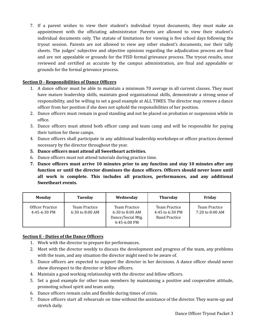7. If a parent wishes to view their student's individual tryout documents, they must make an appointment with the officiating administrator. Parents are allowed to view their student's individual documents only. The statute of limitations for viewing is five school days following the tryout session. Parents are not allowed to view any other student's documents, nor their tally sheets. The judges' subjective and objective opinions regarding the adjudication process are final and are not appealable or grounds for the FISD formal grievance process. The tryout results, once reviewed and certified as accurate by the campus administration, are final and appealable or grounds for the formal grievance process.

#### **Section D - Responsibilities of Dance Officers**

- 1. A dance officer must be able to maintain a minimum 70 average in all current classes. They must have mature leadership skills, maintain good organizational skills, demonstrate a strong sense of responsibility, and be willing to set a good example at ALL TIMES. The director may remove a dance officer from her position if she does not uphold the responsibilities of her position.
- 2. Dance officers must remain in good standing and not be placed on probation or suspension while in office.
- 3. Dance officers must attend both officer camp and team camp and will be responsible for paying their tuition for these camps.
- 4. Dance officers shall participate in any additional leadership workshops or officer practices deemed necessary by the director throughout the year.
- **5. Dance officers must attend all Sweetheart activities.**
- 6. Dance officers must not attend tutorials during practice time.
- **7. Dance officers must arrive 10 minutes prior to any function and stay 10 minutes after any function or until the director dismisses the dance officers. Officers should never leave until all work is complete. This includes all practices, performances, and any additional Sweetheart events.**

| <b>Monday</b>                      | <b>Tuesday</b>                       | Wednesday                                                                 | <b>Thursday</b>                                          | Friday                           |
|------------------------------------|--------------------------------------|---------------------------------------------------------------------------|----------------------------------------------------------|----------------------------------|
| Officer Practice<br>$4:45-6:30$ PM | Team Practice<br>$6:30$ to $8:00$ AM | Team Practice<br>$6:30$ to $8:00$ AM<br>Dance/Social Mtg.<br>4:45-6:00 PM | Team Practice<br>4:45 to 6:30 PM<br><b>Band Practice</b> | Team Practice<br>7:20 to 8:00 AM |

#### **Section E - Duties of the Dance Officers**

- 1. Work with the director to prepare for performances.
- 2. Meet with the director weekly to discuss the development and progress of the team, any problems with the team, and any situation the director might need to be aware of.
- 3. Dance officers are expected to support the director in her decisions. A dance officer should never show disrespect to the director or fellow officers.
- 4. Maintain a good working relationship with the director and fellow officers.
- 5. Set a good example for other team members by maintaining a positive and cooperative attitude, promoting school spirit and team unity.
- 6. Dance officers remain calm and flexible during times of crisis.
- 7. Dance officers start all rehearsals on time without the assistance of the director. They warm-up and stretch daily.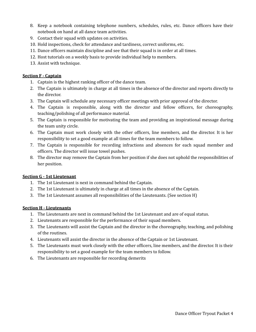- 8. Keep a notebook containing telephone numbers, schedules, rules, etc. Dance officers have their notebook on hand at all dance team activities.
- 9. Contact their squad with updates on activities.
- 10. Hold inspections, check for attendance and tardiness, correct uniforms, etc.
- 11. Dance officers maintain discipline and see that their squad is in order at all times.
- 12. Host tutorials on a weekly basis to provide individual help to members.
- 13. Assist with technique.

#### **Section F - Captain**

- 1. Captain is the highest ranking officer of the dance team.
- 2. The Captain is ultimately in charge at all times in the absence of the director and reports directly to the director.
- 3. The Captain will schedule any necessary officer meetings with prior approval of the director.
- 4. The Captain is responsible, along with the director and fellow officers, for choreography, teaching/polishing of all performance material.
- 5. The Captain is responsible for motivating the team and providing an inspirational message during the team unity circle.
- 6. The Captain must work closely with the other officers, line members, and the director. It is her responsibility to set a good example at all times for the team members to follow.
- 7. The Captain is responsible for recording infractions and absences for each squad member and officers. The director will issue towel pushes.
- 8. The director may remove the Captain from her position if she does not uphold the responsibilities of her position.

#### **Section G - 1st Lieutenant**

- 1. The 1st Lieutenant is next in command behind the Captain.
- 2. The 1st Lieutenant is ultimately in charge at all times in the absence of the Captain.
- 3. The 1st Lieutenant assumes all responsibilities of the Lieutenants. (See section H)

#### **Section H - Lieutenants**

- 1. The Lieutenants are next in command behind the 1st Lieutenant and are of equal status.
- 2. Lieutenants are responsible for the performance of their squad members.
- 3. The Lieutenants will assist the Captain and the director in the choreography, teaching, and polishing of the routines.
- 4. Lieutenants will assist the director in the absence of the Captain or 1st Lieutenant.
- 5. The Lieutenants must work closely with the other officers, line members, and the director. It is their responsibility to set a good example for the team members to follow.
- 6. The Lieutenants are responsible for recording demerits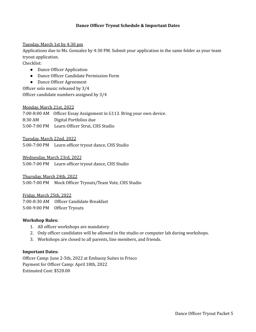#### **Dance Officer Tryout Schedule & Important Dates**

#### Tuesday, March 1st by 4:30 pm

Applications due to Ms. Gonzalez by 4:30 PM. Submit your application in the same folder as your team tryout application.

Checklist:

- Dance Officer Application
- Dance Officer Candidate Permission Form
- Dance Officer Agreement

Officer solo music released by 3/4 Officer candidate numbers assigned by 3/4

#### Monday, March 21st, 2022

7:00-8:00 AM Officer Essay Assignment in G113. Bring your own device. 8:30 AM Digital Portfolios due 5:00-7:00 PM Learn Officer Strut, CHS Studio

Tuesday, March 22nd, 2022

5:00-7:00 PM Learn officer tryout dance, CHS Studio

Wednesday, March 23rd, 2022 5:00-7:00 PM Learn officer tryout dance, CHS Studio

Thursday, March 24th, 2022

5:00-7:00 PM Mock Officer Tryouts/Team Vote, CHS Studio

Friday, March 25th, 2022 7:00-8:30 AM Officer Candidate Breakfast 5:00-9:00 PM Officer Tryouts

#### **Workshop Rules:**

- 1. All officer workshops are mandatory
- 2. Only officer candidates will be allowed in the studio or computer lab during workshops.
- 3. Workshops are closed to all parents, line members, and friends.

#### **Important Dates:**

Officer Camp: June 2-5th, 2022 at Embassy Suites in Frisco Payment for Officer Camp: April 18th, 2022 Estimated Cost: \$520.00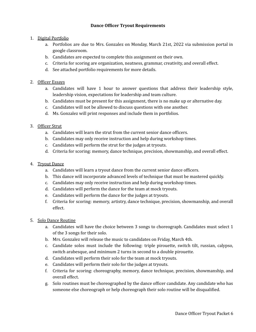#### **Dance Officer Tryout Requirements**

- 1. Digital Portfolio
	- a. Portfolios are due to Mrs. Gonzalez on Monday, March 21st, 2022 via submission portal in google classroom.
	- b. Candidates are expected to complete this assignment on their own.
	- c. Criteria for scoring are organization, neatness, grammar, creativity, and overall effect.
	- d. See attached portfolio requirements for more details.
- 2. Officer Essays
	- a. Candidates will have 1 hour to answer questions that address their leadership style, leadership vision, expectations for leadership and team culture.
	- b. Candidates must be present for this assignment, there is no make up or alternative day.
	- c. Candidates will not be allowed to discuss questions with one another.
	- d. Ms. Gonzalez will print responses and include them in portfolios.
- 3. Officer Strut
	- a. Candidates will learn the strut from the current senior dance officers.
	- b. Candidates may only receive instruction and help during workshop times.
	- c. Candidates will perform the strut for the judges at tryouts.
	- d. Criteria for scoring: memory, dance technique, precision, showmanship, and overall effect.
- 4. Tryout Dance
	- a. Candidates will learn a tryout dance from the current senior dance officers.
	- b. This dance will incorporate advanced levels of technique that must be mastered quickly.
	- c. Candidates may only receive instruction and help during workshop times.
	- d. Candidates will perform the dance for the team at mock tryouts.
	- e. Candidates will perform the dance for the judges at tryouts.
	- f. Criteria for scoring: memory, artistry, dance technique, precision, showmanship, and overall effect.
- 5. Solo Dance Routine
	- a. Candidates will have the choice between 3 songs to choreograph. Candidates must select 1 of the 3 songs for their solo.
	- b. Mrs. Gonzalez will release the music to candidates on Friday, March 4th.
	- c. Candidate solos must include the following: triple pirouette, switch tilt, russian, calypso, switch arabesque, and minimum 2 turns in second to a double pirouette.
	- d. Candidates will perform their solo for the team at mock tryouts.
	- e. Candidates will perform their solo for the judges at tryouts.
	- f. Criteria for scoring: choreography, memory, dance technique, precision, showmanship, and overall effect.
	- g. Solo routines must be choreographed by the dance officer candidate. Any candidate who has someone else choreograph or help choreograph their solo routine will be disqualified.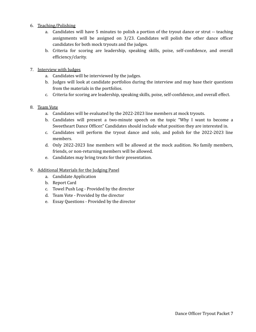- 6. Teaching/Polishing
	- a. Candidates will have 5 minutes to polish a portion of the tryout dance or strut -- teaching assignments will be assigned on 3/23. Candidates will polish the other dance officer candidates for both mock tryouts and the judges.
	- b. Criteria for scoring are leadership, speaking skills, poise, self-confidence, and overall efficiency/clarity.
- 7. Interview with Judges
	- a. Candidates will be interviewed by the judges.
	- b. Judges will look at candidate portfolios during the interview and may base their questions from the materials in the portfolios.
	- c. Criteria for scoring are leadership, speaking skills, poise, self-confidence, and overall effect.

#### 8. Team Vote

- a. Candidates will be evaluated by the 2022-2023 line members at mock tryouts.
- b. Candidates will present a two-minute speech on the topic "Why I want to become a Sweetheart Dance Officer." Candidates should include what position they are interested in.
- c. Candidates will perform the tryout dance and solo, and polish for the 2022-2023 line members.
- d. Only 2022-2023 line members will be allowed at the mock audition. No family members, friends, or non-returning members will be allowed.
- e. Candidates may bring treats for their presentation.

#### 9. Additional Materials for the Judging Panel

- a. Candidate Application
- b. Report Card
- c. Towel Push Log Provided by the director
- d. Team Vote Provided by the director
- e. Essay Questions Provided by the director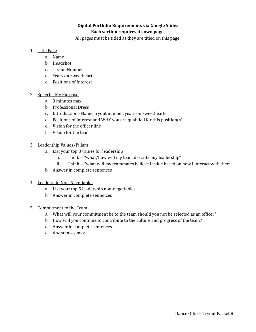### **Digital Portfolio Requirements via Google Slides Each section requires its own page.**

All pages must be titled as they are titled on this page.

#### 1. Title Page

- a. Name
- b. Headshot
- c. Tryout Number
- d. Years on Sweethearts
- e. Positions of Interest
- 2. Speech My Purpose
	- a. 3 minutes max
	- b. Professional Dress
	- c. Introduction Name, tryout number, years on Sweethearts
	- d. Positions of interest and WHY you are qualified for this position(s)
	- e. Vision for the officer line
	- f. Vision for the team
- 3. Leadership Values/Pillars
	- a. List your top 3 values for leadership
		- i. Think -- "what/how will my team describe my leadership"
		- ii. Think -- "what will my teammates believe I value based on how I interact with them"
	- b. Answer in complete sentences
- 4. Leadership Non-Negotiables
	- a. List your top 5 leadership non-negotiables
	- b. Answer in complete sentences
- 5. Commitment to the Team
	- a. What will your commitment be to the team should you not be selected as an officer?
	- b. How will you continue to contribute to the culture and progress of the team?
	- c. Answer in complete sentences
	- d. 4 sentences max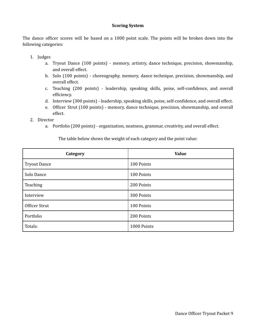#### **Scoring System**

The dance officer scores will be based on a 1000 point scale. The points will be broken down into the following categories:

- 1. Judges
	- a. Tryout Dance (100 points) memory, artistry, dance technique, precision, showmanship, and overall effect.
	- b. Solo (100 points) choreography, memory, dance technique, precision, showmanship, and overall effect.
	- c. Teaching (200 points) leadership, speaking skills, poise, self-confidence, and overall efficiency.
	- d. Interview (300 points) leadership, speaking skills, poise, self-confidence, and overall effect.
	- e. Officer Strut (100 points) memory, dance technique, precision, showmanship, and overall effect.
- 2. Director
	- a. Portfolio (200 points) organization, neatness, grammar, creativity, and overall effect.

The table below shows the weight of each category and the point value:

| Category            | <b>Value</b> |
|---------------------|--------------|
| <b>Tryout Dance</b> | 100 Points   |
| Solo Dance          | 100 Points   |
| Teaching            | 200 Points   |
| Interview           | 300 Points   |
| Officer Strut       | 100 Points   |
| Portfolio           | 200 Points   |
| Totals:             | 1000 Points  |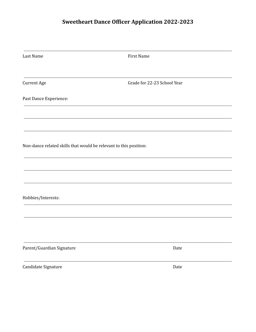# **Sweetheart Dance Officer Application 2022-2023**

| <b>Last Name</b>                                                  | <b>First Name</b>           |
|-------------------------------------------------------------------|-----------------------------|
| <b>Current Age</b>                                                | Grade for 22-23 School Year |
| Past Dance Experience:                                            |                             |
|                                                                   |                             |
|                                                                   |                             |
| Non-dance related skills that would be relevant to this position: |                             |
|                                                                   |                             |
|                                                                   |                             |
| Hobbies/Interests:                                                |                             |
|                                                                   |                             |
|                                                                   |                             |
| Parent/Guardian Signature                                         | Date                        |
| Candidate Signature                                               | Date                        |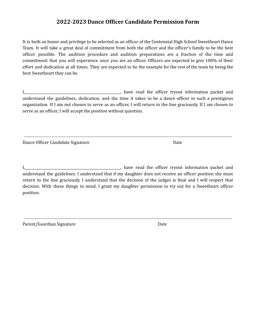# **2022-2023 Dance Officer Candidate Permission Form**

It is both an honor and privilege to be selected as an officer of the Centennial High School Sweetheart Dance Team. It will take a great deal of commitment from both the officer and the officer's family to be the best officer possible. The audition procedure and audition preparations are a fraction of the time and commitment that you will experience once you are an officer. Officers are expected to give 100% of their effort and dedication at all times. They are expected to be the example for the rest of the team by being the best Sweetheart they can be.

I,\_\_\_\_\_\_\_\_\_\_\_\_\_\_\_\_\_\_\_\_\_\_\_\_\_\_\_\_\_\_\_\_\_\_\_\_\_\_\_\_\_\_\_\_\_\_\_\_\_\_\_\_\_\_\_\_, have read the officer tryout information packet and understand the guidelines, dedication, and the time it takes to be a dance officer in such a prestigious organization. If I am not chosen to serve as an officer, I will return to the line graciously. If I am chosen to serve as an officer, I will accept the position without question.

Dance Officer Candidate Signature **Date 2018** 2018 12:30 Date

I,\_\_\_\_\_\_\_\_\_\_\_\_\_\_\_\_\_\_\_\_\_\_\_\_\_\_\_\_\_\_\_\_\_\_\_\_\_\_\_\_\_\_\_\_\_\_\_\_\_\_\_\_\_\_\_\_, have read the officer tryout information packet and understand the guidelines. I understand that if my daughter does not receive an officer position she must return to the line graciously. I understand that the decision of the judges is final and I will respect that decision. With these things in mind, I grant my daughter permission to try out for a Sweetheart officer position.

Parent/Guardian Signature Date Date